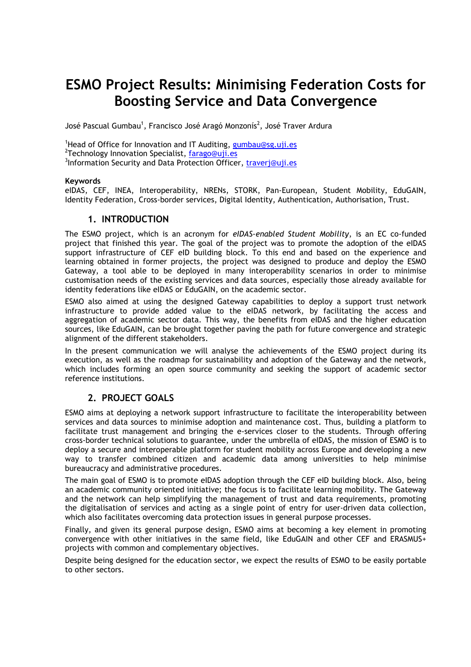# **ESMO Project Results: Minimising Federation Costs for Boosting Service and Data Convergence**

José Pascual Gumbau<sup>1</sup>, Francisco José Aragó Monzonís<sup>2</sup>, José Traver Ardura

<sup>1</sup>Head of Office for Innovation and IT Auditing,  $\frac{1}{2}$ umbau@sg.uji.es <sup>2</sup>Technology Innovation Specialist, farago@uji.es <sup>3</sup>Information Security and Data Protection Officer, traverj@uji.es

#### **Keywords**

eIDAS, CEF, INEA, Interoperability, NRENs, STORK, Pan-European, Student Mobility, EduGAIN, Identity Federation, Cross-border services, Digital Identity, Authentication, Authorisation, Trust.

#### **1. INTRODUCTION**

The ESMO project, which is an acronym for *eIDAS-enabled Student Mobility*, is an EC co-funded project that finished this year. The goal of the project was to promote the adoption of the eIDAS support infrastructure of CEF eID building block. To this end and based on the experience and learning obtained in former projects, the project was designed to produce and deploy the ESMO Gateway, a tool able to be deployed in many interoperability scenarios in order to minimise customisation needs of the existing services and data sources, especially those already available for identity federations like eIDAS or EduGAIN, on the academic sector.

ESMO also aimed at using the designed Gateway capabilities to deploy a support trust network infrastructure to provide added value to the eIDAS network, by facilitating the access and aggregation of academic sector data. This way, the benefits from eIDAS and the higher education sources, like EduGAIN, can be brought together paving the path for future convergence and strategic alignment of the different stakeholders.

In the present communication we will analyse the achievements of the ESMO project during its execution, as well as the roadmap for sustainability and adoption of the Gateway and the network, which includes forming an open source community and seeking the support of academic sector reference institutions.

### **2. PROJECT GOALS**

ESMO aims at deploying a network support infrastructure to facilitate the interoperability between services and data sources to minimise adoption and maintenance cost. Thus, building a platform to facilitate trust management and bringing the e-services closer to the students. Through offering cross-border technical solutions to guarantee, under the umbrella of eIDAS, the mission of ESMO is to deploy a secure and interoperable platform for student mobility across Europe and developing a new way to transfer combined citizen and academic data among universities to help minimise bureaucracy and administrative procedures.

The main goal of ESMO is to promote eIDAS adoption through the CEF eID building block. Also, being an academic community oriented initiative; the focus is to facilitate learning mobility. The Gateway and the network can help simplifying the management of trust and data requirements, promoting the digitalisation of services and acting as a single point of entry for user-driven data collection, which also facilitates overcoming data protection issues in general purpose processes.

Finally, and given its general purpose design, ESMO aims at becoming a key element in promoting convergence with other initiatives in the same field, like EduGAIN and other CEF and ERASMUS+ projects with common and complementary objectives.

Despite being designed for the education sector, we expect the results of ESMO to be easily portable to other sectors.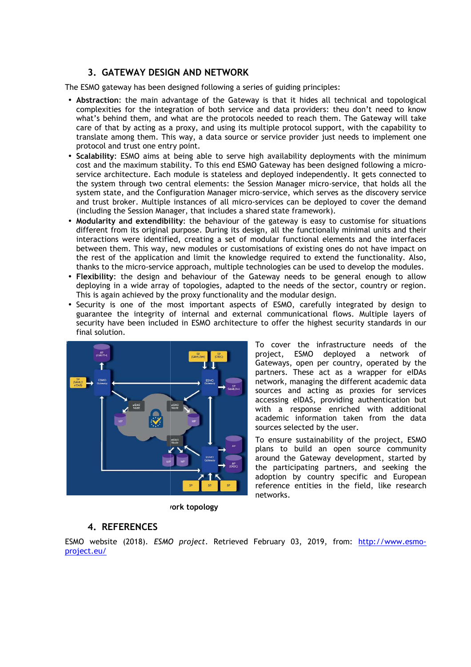## **3. GATEWAY DESIGN AND AND NETWORK**

The ESMO gateway has been designed following a series of guiding principles:

- **Abstraction**: the main advantage of the Gateway is that it hides all technical and topological complexities for the integration of both service and data providers: theu don't need to know what's behind them, and what are the protocols needed to reach them. The Gateway will care of that by acting as a proxy, and using its multiple protocol support, with the capability to translate among them. This way, a data source or service provider just needs to implement one protocol and trust one entry point.
- **Scalability**: ESMO aims at being able to serve high availability deployments with the minimum cost and the maximum stability. To this end ESMO Gateway has been designed following a microservice architecture. Each module is stateless and deployed independently. It gets connected to the system through two central elements: the Session Manager micro micro-service, that holds all the system state, and the Configuration Manager micro-service, which serves as the discovery service and trust broker. Multiple instances of all micro-services can be deployed to cover the demand (including the Session Manager, that includes a shared state framework).
- **Modularity and extendibility:** the behaviour of the gateway is easy to customise for situations different from its original purpose. During its design, all the functionally minimal units and their interactions were identified, creating a set of modular functional elements and the interfaces between them. This way, new modules or customisations of existing ones do not have impact on the rest of the application and limit the knowledge required to extend the functionality. Also, thanks to the micro-service approach, multiple technologies can be used to develop the modules. Session Manager micro-service, that holds all the<br>icro-service, which serves as the discovery service<br>ro-services can be deployed to cover the demand<br>shared state framework).<br>f the gateway is easy to customise for situatio
- thanks to the micro-service approach, multiple technologies can be used to develop the modules.<br>• Flexibility: the design and behaviour of the Gateway needs to be general enough to allow deploying in a wide array of topologies, adapted to the needs of the sector, country or region. This is again achieved by the proxy functionality and the modular design.
- Security is one of the most important aspects of ESMO, carefully integrated by design to guarantee the integrity of internal and external communicational flows. Multiple layers of security have been included in ESMO architecture to offer the highest security standards in our final solution.



To cover the infrastructure needs of the project, ESMO deployed a network of Gateways, open per country, operated by the partners. These act as a wrapper for eIDAs network, managing the different academic data sources and acting as proxies for services accessing eIDAS, providing authentication b but with a response enriched with additional academic information taken from the data sources selected by the user.

To ensure sustainability of the project, ESMO plans to build an open source community around the Gateway development, started by the participating partners, and seeking the adoption by country specific and European reference entities in the field, like research networks.

*I***ork topology** 

### **4. REFERENCES**

ESMO website (2018). *ESMO project* . Retrieved February 03, 2019, from: http://www.esmoproject.eu/